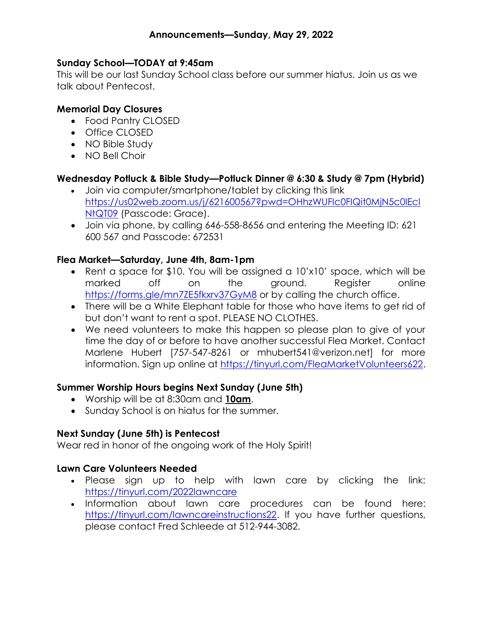### Sunday School—TODAY at 9:45am

This will be our last Sunday School class before our summer hiatus. Join us as we talk about Pentecost.

### Memorial Day Closures

- Food Pantry CLOSED
- Office CLOSED
- NO Bible Study
- NO Bell Choir

# Wednesday Potluck & Bible Study—Potluck Dinner @ 6:30 & Study @ 7pm (Hybrid)

- Join via computer/smartphone/tablet by clicking this link https://us02web.zoom.us/j/621600567?pwd=OHhzWUFIc0FIQit0MjN5c0lEcl NtQT09 (Passcode: Grace).
- Join via phone, by calling 646-558-8656 and entering the Meeting ID: 621 600 567 and Passcode: 672531

### Flea Market—Saturday, June 4th, 8am-1pm

- Rent a space for \$10. You will be assigned a 10'x10' space, which will be marked off on the ground. Register online https://forms.gle/mn7ZE5fkxrv37GyM8 or by calling the church office.
- There will be a White Elephant table for those who have items to get rid of but don't want to rent a spot. PLEASE NO CLOTHES.
- We need volunteers to make this happen so please plan to give of your time the day of or before to have another successful Flea Market. Contact Marlene Hubert [757-547-8261 or mhubert541@verizon.net] for more information. Sign up online at https://tinyurl.com/FleaMarketVolunteers622.

### Summer Worship Hours begins Next Sunday (June 5th)

- Worship will be at 8:30am and 10am.
- Sunday School is on hiatus for the summer.

# Next Sunday (June 5th) is Pentecost

Wear red in honor of the ongoing work of the Holy Spirit!

### Lawn Care Volunteers Needed

- Please sign up to help with lawn care by clicking the link: https://tinyurl.com/2022lawncare
- . Information about lawn care procedures can be found here: https://tinyurl.com/lawncareinstructions22. If you have further questions, please contact Fred Schleede at 512-944-3082.